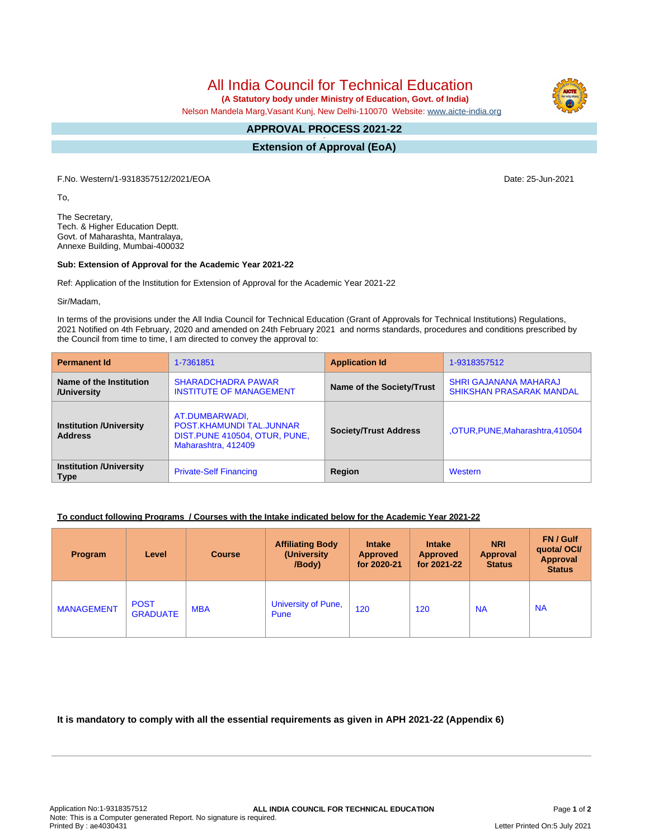All India Council for Technical Education

 **(A Statutory body under Ministry of Education, Govt. of India)**

Nelson Mandela Marg,Vasant Kunj, New Delhi-110070 Website: [www.aicte-india.org](http://www.aicte-india.org)

#### **APPROVAL PROCESS 2021-22 -**

**Extension of Approval (EoA)**

F.No. Western/1-9318357512/2021/EOA Date: 25-Jun-2021

To,

The Secretary, Tech. & Higher Education Deptt. Govt. of Maharashta, Mantralaya, Annexe Building, Mumbai-400032

### **Sub: Extension of Approval for the Academic Year 2021-22**

Ref: Application of the Institution for Extension of Approval for the Academic Year 2021-22

Sir/Madam,

In terms of the provisions under the All India Council for Technical Education (Grant of Approvals for Technical Institutions) Regulations, 2021 Notified on 4th February, 2020 and amended on 24th February 2021 and norms standards, procedures and conditions prescribed by the Council from time to time, I am directed to convey the approval to:

| <b>Permanent Id</b>                              | 1-7361851                                                                                           | <b>Application Id</b>        | 1-9318357512                                                    |  |
|--------------------------------------------------|-----------------------------------------------------------------------------------------------------|------------------------------|-----------------------------------------------------------------|--|
| Name of the Institution<br>/University           | <b>SHARADCHADRA PAWAR</b><br><b>INSTITUTE OF MANAGEMENT</b>                                         | Name of the Society/Trust    | <b>SHRI GAJANANA MAHARAJ</b><br><b>SHIKSHAN PRASARAK MANDAL</b> |  |
| <b>Institution /University</b><br><b>Address</b> | AT.DUMBARWADI,<br>POST.KHAMUNDI TAL.JUNNAR<br>DIST. PUNE 410504, OTUR, PUNE,<br>Maharashtra, 412409 | <b>Society/Trust Address</b> | ,OTUR, PUNE, Maharashtra, 410504                                |  |
| <b>Institution /University</b><br><b>Type</b>    | <b>Private-Self Financing</b>                                                                       | Region                       | Western                                                         |  |

## **To conduct following Programs / Courses with the Intake indicated below for the Academic Year 2021-22**

| <b>Program</b>    | Level                          | <b>Course</b> | <b>Affiliating Body</b><br>(University)<br>/Body) | <b>Intake</b><br><b>Approved</b><br>for 2020-21 | <b>Intake</b><br><b>Approved</b><br>for 2021-22 | <b>NRI</b><br>Approval<br><b>Status</b> | FN / Gulf<br>quotal OCI/<br><b>Approval</b><br><b>Status</b> |
|-------------------|--------------------------------|---------------|---------------------------------------------------|-------------------------------------------------|-------------------------------------------------|-----------------------------------------|--------------------------------------------------------------|
| <b>MANAGEMENT</b> | <b>POST</b><br><b>GRADUATE</b> | <b>MBA</b>    | University of Pune,<br>Pune                       | 120                                             | 120                                             | <b>NA</b>                               | <b>NA</b>                                                    |

**It is mandatory to comply with all the essential requirements as given in APH 2021-22 (Appendix 6)**